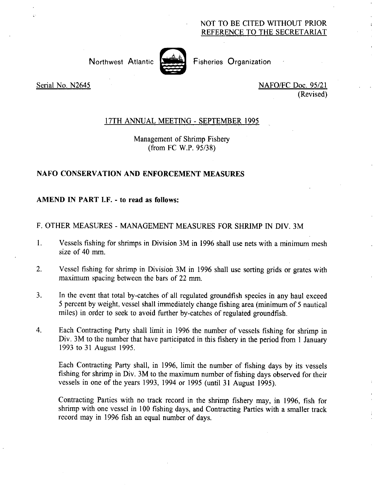# NOT TO BE CITED WITHOUT PRIOR REFERENCE TO THE SECRETARIAT



Northwest Atlantic <a>[</a> Fisheries Organization</a>

Serial No. N2645 NAFO/FC Doc. 95/21 (Revised)

# 17TH ANNUAL MEETING - SEPTEMBER 1995

Management of Shrimp Fishery (from FC W.P. 95/38)

# **NAFO CONSERVATION AND ENFORCEMENT MEASURES**

### **AMEND** IN **PART I.F. - to read as follows:**

### F. OTHER MEASURES - MANAGEMENT MEASURES FOR SHRIMP IN DIV. 3M

- 1. Vessels fishing for shrimps in Division 3M in 1996 shall use nets with a minimum mesh size of 40 mm
- 2. Vessel fishing for shrimp in Division 3M in 1996 shall use sorting grids or grates with maximum spacing between the bars of 22 mm.
- 3. In the event that total by-catches of all regulated groundfish species in any haul exceed 5 percent by weight, vessel shall immediately change fishing area (minimum of 5 nautical miles) in order to seek to avoid further by-catches of regulated groundfish.
- 4. Each Contracting Party shall limit in 1996 the number of vessels fishing for shrimp in Div. 3M to the number that have participated in this fishery in the period from 1 January 1993 to 31 August 1995.

Each Contracting Party shall, in 1996, limit the number of fishing days by its vessels fishing for shrimp in Div. 3M to the maximum number of fishing days observed for their vessels in one of the years 1993, 1994 or 1995 (until 31 August 1995).

Contracting Parties with no track record in the shrimp fishery may, in 1996, fish for shrimp with one vessel in 100 fishing days, and Contracting Parties with a smaller track record may in 1996 fish an equal number of days.